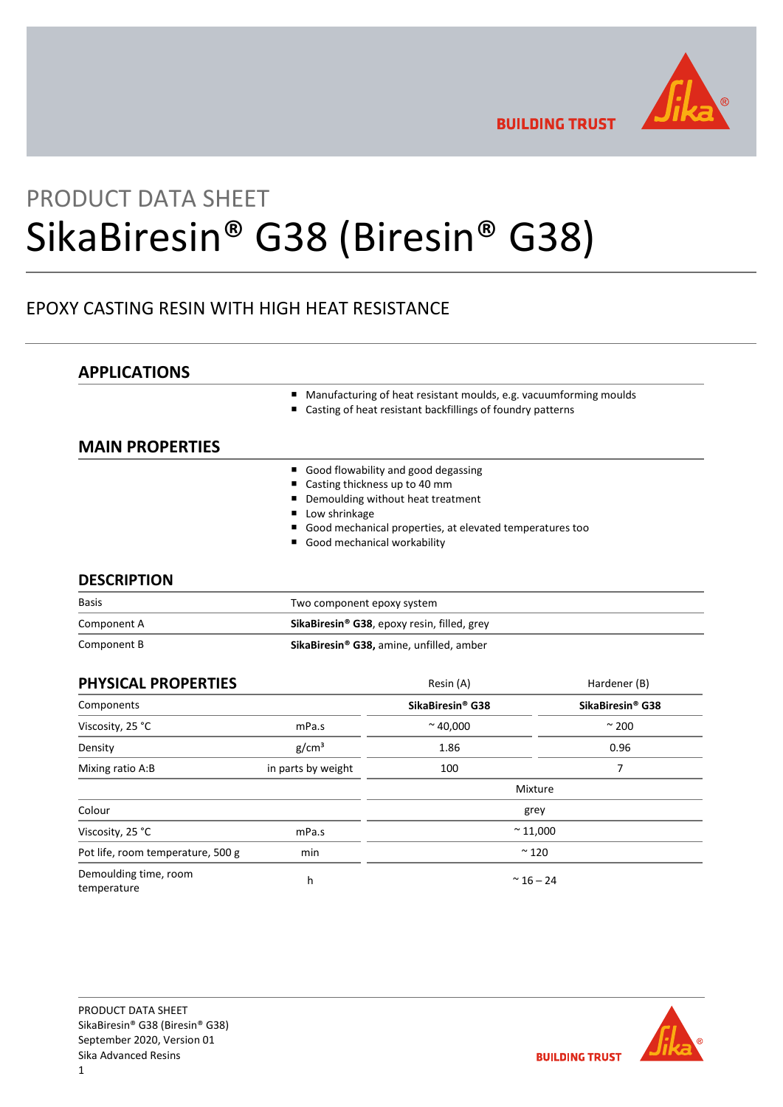

**BUILDING TRUST** 

# PRODUCT DATA SHEET SikaBiresin® G38 (Biresin® G38)

# EPOXY CASTING RESIN WITH HIGH HEAT RESISTANCE

# **APPLICATIONS**

- Manufacturing of heat resistant moulds, e.g. vacuumforming moulds
- Casting of heat resistant backfillings of foundry patterns

# **MAIN PROPERTIES**

- Good flowability and good degassing
- Casting thickness up to 40 mm
- Demoulding without heat treatment
- **Low shrinkage**
- Good mechanical properties, at elevated temperatures too
- Good mechanical workability

# **DESCRIPTION**

| <b>Basis</b> | Two component epoxy system                                     |  |  |
|--------------|----------------------------------------------------------------|--|--|
| Component A  | <b>SikaBiresin<sup>®</sup> G38</b> , epoxy resin, filled, grey |  |  |
| Component B  | SikaBiresin® G38, amine, unfilled, amber                       |  |  |

| PHYSICAL PROPERTIES                  |                    | Resin (A)                    | Hardener (B)                 |
|--------------------------------------|--------------------|------------------------------|------------------------------|
| Components                           |                    | SikaBiresin <sup>®</sup> G38 | SikaBiresin <sup>®</sup> G38 |
| Viscosity, 25 °C                     | mPa.s              | $~^{\sim}$ 40,000            | $\sim$ 200                   |
| Density                              | g/cm <sup>3</sup>  | 1.86                         | 0.96                         |
| Mixing ratio A:B                     | in parts by weight | 100                          | 7                            |
|                                      |                    |                              | Mixture                      |
| Colour                               |                    |                              | grey                         |
| Viscosity, 25 °C                     | mPa.s              | $~^{\sim}$ 11,000            |                              |
| Pot life, room temperature, 500 g    | min                | $~^{\sim}$ 120               |                              |
| Demoulding time, room<br>temperature | h                  | $~^{\sim}$ 16 - 24           |                              |

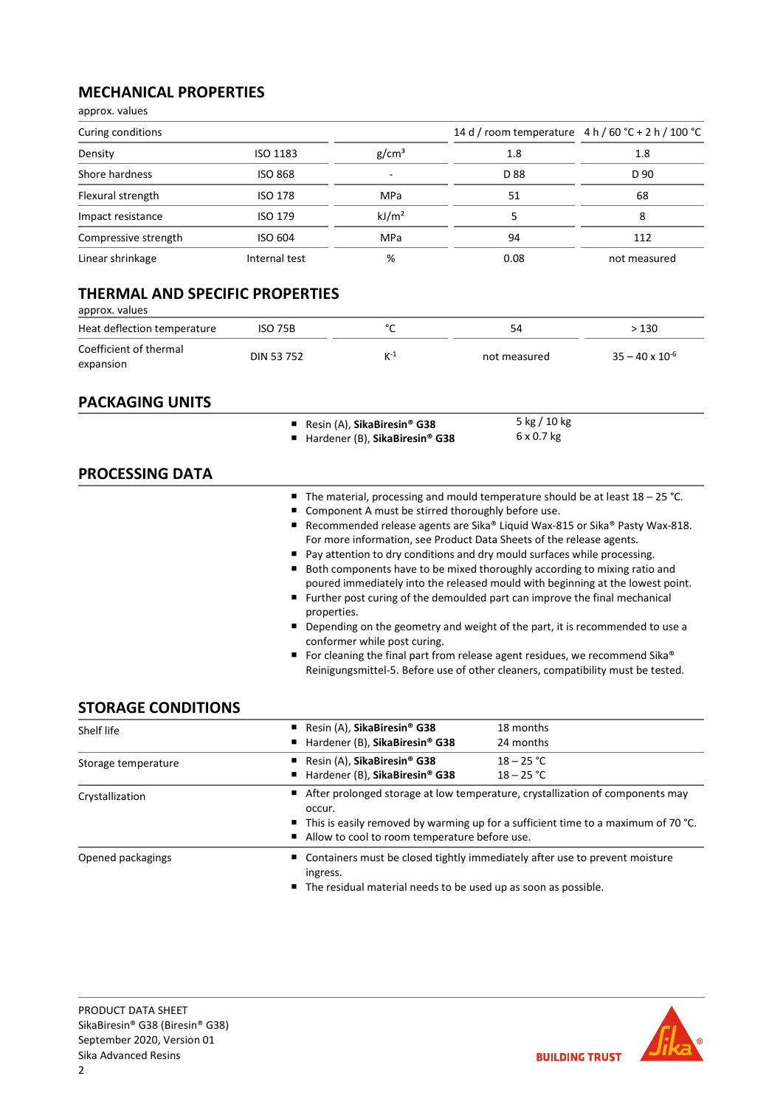# **MECHANICAL PROPERTIES**

approx. values

| Curing conditions    |                 |                   | 14 d / room temperature $4 h / 60 °C + 2 h / 100 °C$ |              |
|----------------------|-----------------|-------------------|------------------------------------------------------|--------------|
| Density              | <b>ISO 1183</b> | g/cm <sup>3</sup> | 1.8                                                  | 1.8          |
| Shore hardness       | <b>ISO 868</b>  |                   | D 88                                                 | D 90         |
| Flexural strength    | <b>ISO 178</b>  | MPa               | 51                                                   | 68           |
| Impact resistance    | <b>ISO 179</b>  | kJ/m <sup>2</sup> |                                                      | 8            |
| Compressive strength | ISO 604         | MPa               | 94                                                   | 112          |
| Linear shrinkage     | Internal test   | %                 | 0.08                                                 | not measured |

# **THERMAL AND SPECIFIC PROPERTIES**

| approx. values                      |                |        |              |                          |
|-------------------------------------|----------------|--------|--------------|--------------------------|
| Heat deflection temperature         | <b>ISO 75B</b> | $\sim$ | 54           | > 130                    |
| Coefficient of thermal<br>expansion | DIN 53 752     | $K-1$  | not measured | $35 - 40 \times 10^{-6}$ |

# **PACKAGING UNITS**

|                        | Resin (A), SikaBiresin <sup>®</sup> G38<br>■ Hardener (B), SikaBiresin® G38                                                                                                                                                                                                                                                           | 5 kg / 10 kg<br>$6 \times 0.7$ kg                                                                                                                                                                                                                                                                                                                                                                                                                                                                                                                                               |
|------------------------|---------------------------------------------------------------------------------------------------------------------------------------------------------------------------------------------------------------------------------------------------------------------------------------------------------------------------------------|---------------------------------------------------------------------------------------------------------------------------------------------------------------------------------------------------------------------------------------------------------------------------------------------------------------------------------------------------------------------------------------------------------------------------------------------------------------------------------------------------------------------------------------------------------------------------------|
| <b>PROCESSING DATA</b> |                                                                                                                                                                                                                                                                                                                                       |                                                                                                                                                                                                                                                                                                                                                                                                                                                                                                                                                                                 |
|                        | Component A must be stirred thoroughly before use.<br>For more information, see Product Data Sheets of the release agents.<br>Pay attention to dry conditions and dry mould surfaces while processing.<br>■ Further post curing of the demoulded part can improve the final mechanical<br>properties.<br>conformer while post curing. | The material, processing and mould temperature should be at least $18 - 25$ °C.<br>Recommended release agents are Sika® Liquid Wax-815 or Sika® Pasty Wax-818.<br>Both components have to be mixed thoroughly according to mixing ratio and<br>poured immediately into the released mould with beginning at the lowest point.<br>Depending on the geometry and weight of the part, it is recommended to use a<br>For cleaning the final part from release agent residues, we recommend Sika®<br>Reinigungsmittel-5. Before use of other cleaners, compatibility must be tested. |

# **STORAGE CONDITIONS**

| Shelf life          | Resin (A), SikaBiresin <sup>®</sup> G38                                                                                              | 18 months                                                                                                                                         |  |  |
|---------------------|--------------------------------------------------------------------------------------------------------------------------------------|---------------------------------------------------------------------------------------------------------------------------------------------------|--|--|
|                     | ■ Hardener (B), SikaBiresin® G38                                                                                                     | 24 months                                                                                                                                         |  |  |
| Storage temperature | Resin (A), SikaBiresin <sup>®</sup> G38                                                                                              | $18 - 25 °C$                                                                                                                                      |  |  |
|                     | ■ Hardener (B), SikaBiresin® G38                                                                                                     | $18 - 25 °C$                                                                                                                                      |  |  |
| Crystallization     | occur.                                                                                                                               | After prolonged storage at low temperature, crystallization of components may                                                                     |  |  |
|                     | ■ This is easily removed by warming up for a sufficient time to a maximum of 70 °C.<br>Allow to cool to room temperature before use. |                                                                                                                                                   |  |  |
| Opened packagings   | ingress.                                                                                                                             | ■ Containers must be closed tightly immediately after use to prevent moisture<br>■ The residual material needs to be used up as soon as possible. |  |  |